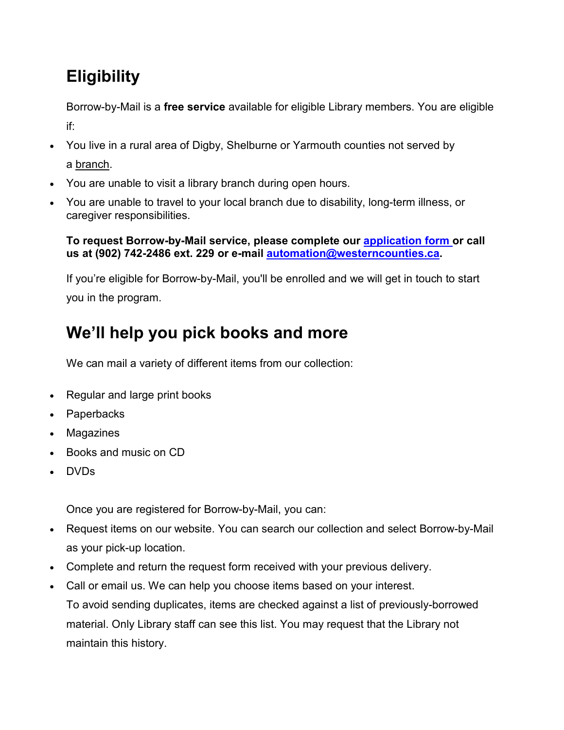## **Eligibility**

Borrow-by-Mail is a **free service** available for eligible Library members. You are eligible if:

- You live in a rural area of Digby, Shelburne or Yarmouth counties not served by a [branch.](https://westerncounties.ca/branch-locations/)
- You are unable to visit a library branch during open hours.
- You are unable to travel to your local branch due to disability, long-term illness, or caregiver responsibilities.

**To request Borrow-by-Mail service, please complete our [application](https://westerncounties.ca/card/) form or call us at (902) 742-2486 ext. 229 or e-mail [automation@westerncounties.ca.](mailto:automation@westerncounties.ca)**

If you're eligible for Borrow-by-Mail, you'll be enrolled and we will get in touch to start you in the program.

## **We'll help you pick books and more**

We can mail a variety of different items from our collection:

- Regular and large print books
- **Paperbacks**
- **Magazines**
- Books and music on CD
- DVDs

Once you are registered for Borrow-by-Mail, you can:

- Request items on our website. You can search our collection and select Borrow-by-Mail as your pick-up location.
- Complete and return the request form received with your previous delivery.
- Call or email us. We can help you choose items based on your interest. To avoid sending duplicates, items are checked against a list of previously-borrowed material. Only Library staff can see this list. You may request that the Library not maintain this history.